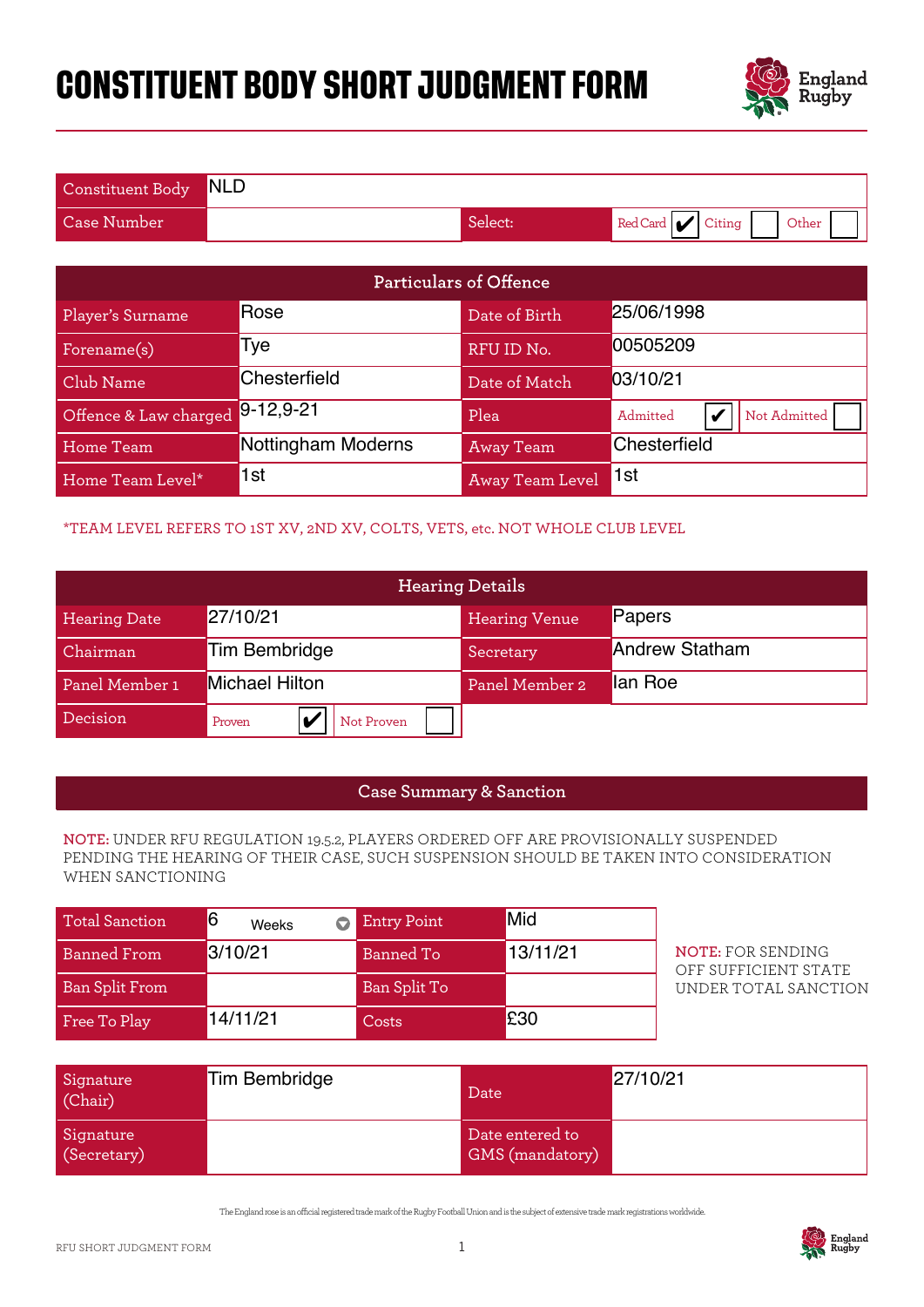# **CONSTITUENT BODY SHORT JUDGMENT FORM**



| Constituent Body NLD |         |                          |
|----------------------|---------|--------------------------|
| Case Number          | Select: | Red Card Citing<br>Other |

| Particulars of Offence                                                                                                                                                                          |                         |                    |                        |                                                  |
|-------------------------------------------------------------------------------------------------------------------------------------------------------------------------------------------------|-------------------------|--------------------|------------------------|--------------------------------------------------|
| Player's Surname                                                                                                                                                                                | Rose                    |                    | Date of Birth          | 25/06/1998                                       |
| Forename(s)                                                                                                                                                                                     | Tye                     |                    | RFU ID No.             | 00505209                                         |
| Club Name                                                                                                                                                                                       | Chesterfield            |                    | Date of Match          | 03/10/21                                         |
| Offence & Law charged                                                                                                                                                                           | $9 - 12, 9 - 21$        |                    | Plea                   | Admitted<br>V<br>Not Admitted                    |
| <b>Home Team</b>                                                                                                                                                                                | Nottingham Moderns      |                    | <b>Away Team</b>       | Chesterfield                                     |
| Home Team Level*                                                                                                                                                                                | 1st                     |                    | <b>Away Team Level</b> | 1st                                              |
| *TEAM LEVEL REFERS TO 1ST XV, 2ND XV, COLTS, VETS, etc. NOT WHOLE CLUB LEVEL                                                                                                                    |                         |                    |                        |                                                  |
|                                                                                                                                                                                                 |                         |                    | <b>Hearing Details</b> |                                                  |
| <b>Hearing Date</b>                                                                                                                                                                             | 27/10/21                |                    | <b>Hearing Venue</b>   | Papers                                           |
| Chairman                                                                                                                                                                                        | <b>Tim Bembridge</b>    |                    | Secretary              | <b>Andrew Statham</b>                            |
| Panel Member 1                                                                                                                                                                                  | <b>Michael Hilton</b>   |                    | Panel Member 2         | lan Roe                                          |
| Decision                                                                                                                                                                                        | V<br>Proven             | Not Proven         |                        |                                                  |
|                                                                                                                                                                                                 |                         |                    |                        |                                                  |
| <b>Case Summary &amp; Sanction</b>                                                                                                                                                              |                         |                    |                        |                                                  |
| NOTE: UNDER RFU REGULATION 19.5.2, PLAYERS ORDERED OFF ARE PROVISIONALLY SUSPENDED<br>PENDING THE HEARING OF THEIR CASE, SUCH SUSPENSION SHOULD BE TAKEN INTO CONSIDERATION<br>WHEN SANCTIONING |                         |                    |                        |                                                  |
| <b>Total Sanction</b>                                                                                                                                                                           | 6<br>$\bullet$<br>Weeks | <b>Entry Point</b> | Mid                    |                                                  |
| <b>Banned From</b>                                                                                                                                                                              | 3/10/21                 | <b>Banned To</b>   | 13/11/21               | <b>NOTE: FOR SENDING</b><br>OFF SUFFICIENT STATE |
| <b>Ban Split From</b>                                                                                                                                                                           |                         | Ban Split To       |                        | UNDER TOTAL SANCTION                             |
| Free To Play                                                                                                                                                                                    | 14/11/21                | Costs              | £30                    |                                                  |

## \*TEAM LEVEL REFERS TO 1ST XV, 2ND XV, COLTS, VETS, etc. NOT WHOLE CLUB LEVEL

| <b>Hearing Details</b> |                       |                      |                       |
|------------------------|-----------------------|----------------------|-----------------------|
| <b>Hearing Date</b>    | 27/10/21              | <b>Hearing Venue</b> | Papers                |
| Chairman               | <b>Tim Bembridge</b>  | Secretary            | <b>Andrew Statham</b> |
| Panel Member 1         | <b>Michael Hilton</b> | Panel Member 2       | lan Roe               |
| Decision               | Not Proven<br>Proven  |                      |                       |

### **Case Summary & Sanction**

#### **NOTE:** UNDER RFU REGULATION 19.5.2, PLAYERS ORDERED OFF ARE PROVISIONALLY SUSPENDED PENDING THE HEARING OF THEIR CASE, SUCH SUSPENSION SHOULD BE TAKEN INTO CONSIDERATION WHEN SANCTIONING

| <b>Total Sanction</b> | Weeks    | <b>Entry Point</b> | Mid      |
|-----------------------|----------|--------------------|----------|
| <b>Banned From</b>    | 3/10/21  | Banned To          | 13/11/21 |
| <b>Ban Split From</b> |          | Ban Split To       |          |
| Free To Play          | 14/11/21 | Costs              | £30      |

| Signature<br>(Chair)     | Tim Bembridge | Date                                      | 27/10/21 |
|--------------------------|---------------|-------------------------------------------|----------|
| Signature<br>(Secretary) |               | Date entered to<br><b>GMS</b> (mandatory) |          |

The England rose is an ocial registered trade mark of the Rugby Football Union and is the subject of extensive trade mark registrations worldwide.

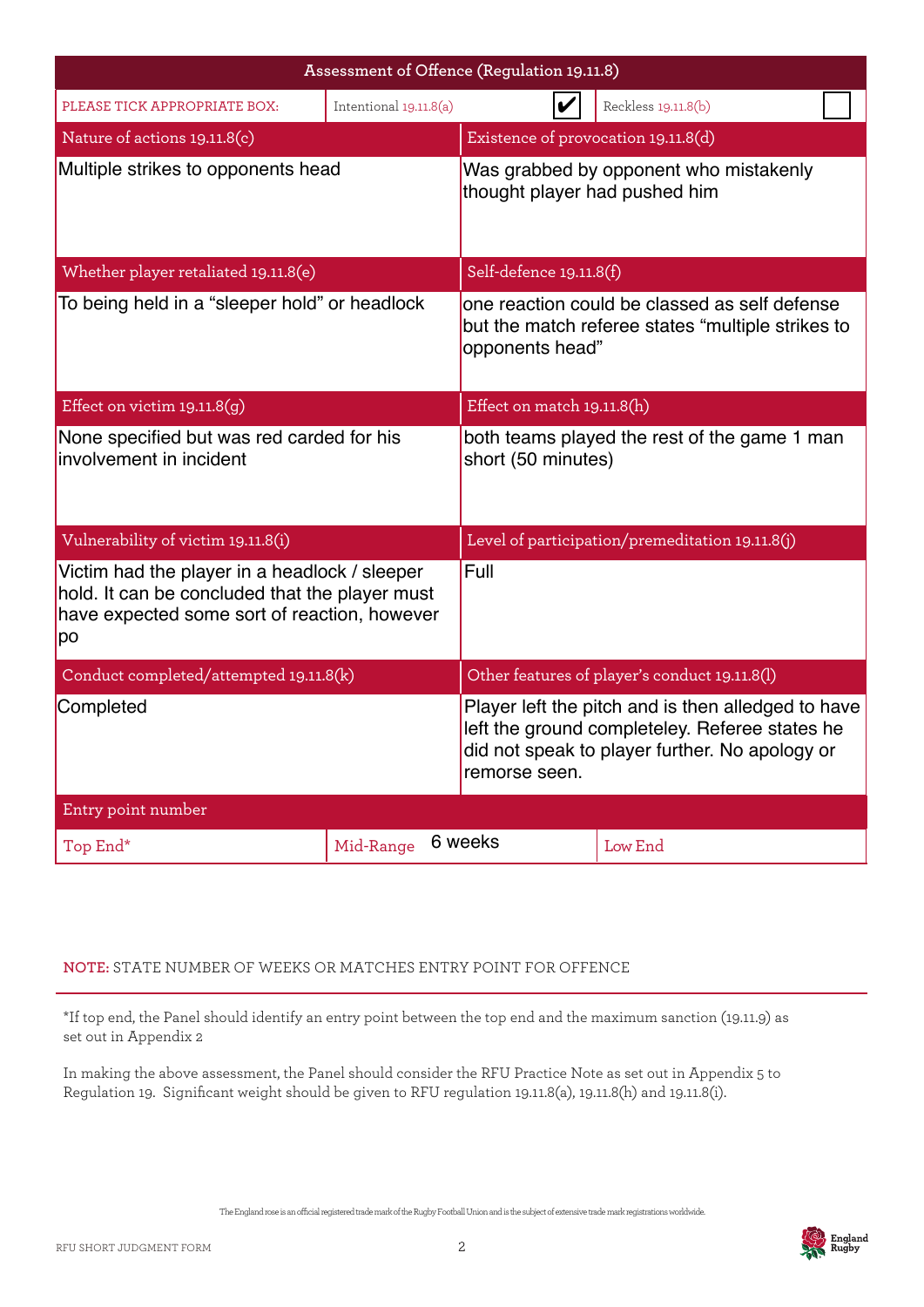|                                                                                                                                                       |                                 | Assessment of Offence (Regulation 19.11.8)                                                                                                                              |  |  |
|-------------------------------------------------------------------------------------------------------------------------------------------------------|---------------------------------|-------------------------------------------------------------------------------------------------------------------------------------------------------------------------|--|--|
| PLEASE TICK APPROPRIATE BOX:                                                                                                                          | Intentional 19.11.8(a)          | Reckless 19.11.8(b)                                                                                                                                                     |  |  |
| Nature of actions 19.11.8(c)                                                                                                                          |                                 | Existence of provocation 19.11.8(d)                                                                                                                                     |  |  |
| Multiple strikes to opponents head                                                                                                                    |                                 | Was grabbed by opponent who mistakenly<br>thought player had pushed him                                                                                                 |  |  |
| Whether player retaliated 19.11.8(e)                                                                                                                  |                                 | Self-defence 19.11.8(f)                                                                                                                                                 |  |  |
| To being held in a "sleeper hold" or headlock                                                                                                         |                                 | one reaction could be classed as self defense<br>but the match referee states "multiple strikes to<br>opponents head"                                                   |  |  |
| Effect on victim $19.11.8(g)$                                                                                                                         |                                 | Effect on match 19.11.8(h)                                                                                                                                              |  |  |
| None specified but was red carded for his<br>involvement in incident                                                                                  |                                 | both teams played the rest of the game 1 man<br>short (50 minutes)                                                                                                      |  |  |
| Vulnerability of victim 19.11.8(i)                                                                                                                    |                                 | Level of participation/premeditation 19.11.8(j)                                                                                                                         |  |  |
| Victim had the player in a headlock / sleeper<br>hold. It can be concluded that the player must<br>have expected some sort of reaction, however<br>po |                                 | Full                                                                                                                                                                    |  |  |
| Conduct completed/attempted 19.11.8(k)                                                                                                                |                                 | Other features of player's conduct 19.11.8(l)                                                                                                                           |  |  |
| Completed                                                                                                                                             |                                 | Player left the pitch and is then alledged to have<br>left the ground completeley. Referee states he<br>did not speak to player further. No apology or<br>remorse seen. |  |  |
| Entry point number                                                                                                                                    |                                 |                                                                                                                                                                         |  |  |
| Top End*                                                                                                                                              | 6 weeks<br>Mid-Range<br>Low End |                                                                                                                                                                         |  |  |

#### **NOTE:** STATE NUMBER OF WEEKS OR MATCHES ENTRY POINT FOR OFFENCE

\*If top end, the Panel should identify an entry point between the top end and the maximum sanction (19.11.9) as set out in Appendix 2

In making the above assessment, the Panel should consider the RFU Practice Note as set out in Appendix 5 to Regulation 19. Significant weight should be given to RFU regulation 19.11.8(a), 19.11.8(h) and 19.11.8(i).

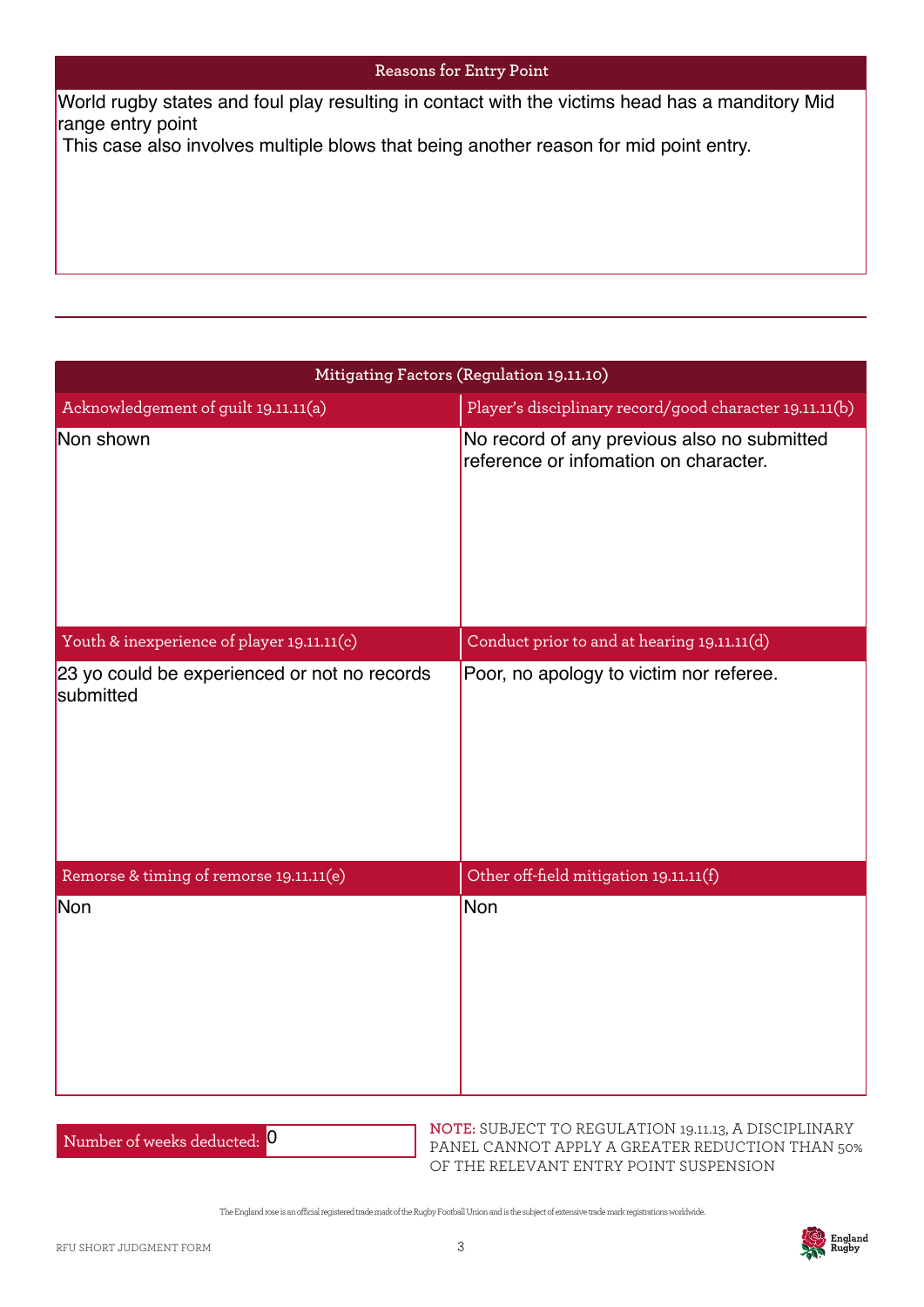#### **Reasons for Entry Point**

range entry point

| World rugby states and foul play resulting in contact with the victims head has a manditory Mid<br>range entry point |                                                                                      |  |
|----------------------------------------------------------------------------------------------------------------------|--------------------------------------------------------------------------------------|--|
| This case also involves multiple blows that being another reason for mid point entry.                                |                                                                                      |  |
|                                                                                                                      |                                                                                      |  |
|                                                                                                                      |                                                                                      |  |
|                                                                                                                      |                                                                                      |  |
|                                                                                                                      |                                                                                      |  |
|                                                                                                                      |                                                                                      |  |
|                                                                                                                      |                                                                                      |  |
|                                                                                                                      | Mitigating Factors (Regulation 19.11.10)                                             |  |
| Acknowledgement of guilt 19.11.11(a)                                                                                 | Player's disciplinary record/good character 19.11.11(b)                              |  |
| Non shown                                                                                                            | No record of any previous also no submitted<br>reference or infomation on character. |  |
|                                                                                                                      |                                                                                      |  |
| Youth & inexperience of player 19.11.11(c)                                                                           | Conduct prior to and at hearing 19.11.11(d)                                          |  |
|                                                                                                                      |                                                                                      |  |
| 23 yo could be experienced or not no records<br>submitted                                                            | Poor, no apology to victim nor referee.                                              |  |
|                                                                                                                      |                                                                                      |  |
|                                                                                                                      |                                                                                      |  |
| Remorse & timing of remorse 19.11.11(e)                                                                              | Other off-field mitigation 19.11.11(f)                                               |  |
| Non                                                                                                                  | Non                                                                                  |  |
|                                                                                                                      |                                                                                      |  |
|                                                                                                                      |                                                                                      |  |
|                                                                                                                      |                                                                                      |  |
|                                                                                                                      |                                                                                      |  |
|                                                                                                                      |                                                                                      |  |
|                                                                                                                      |                                                                                      |  |
|                                                                                                                      |                                                                                      |  |

| Number of weeks deducted: 0 |  |
|-----------------------------|--|
|-----------------------------|--|

**NOTE:** SUBJECT TO REGULATION 19.11.13, A DISCIPLINARY PANEL CANNOT APPLY A GREATER REDUCTION THAN 50% OF THE RELEVANT ENTRY POINT SUSPENSION

The England rose is an ocial registered trade mark of the Rugby Football Union and is the subject of extensive trade mark registrations worldwide.